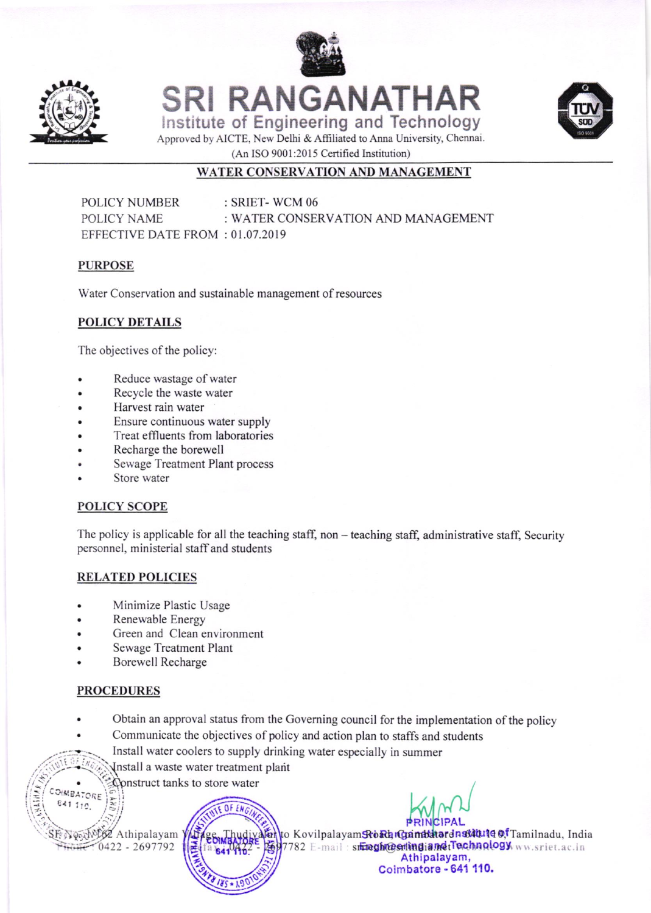



**SRI RANGANATHAR** Institute of Engineering and Technology



Approved by AICTE, New Delhi & Affiliated to Anna University, Chennai. (An ISO 9001:2015 Certified Institution)

# WATER CONSERVATION AND MANAGEMENT

: SRIET-WCM 06 POLICY NUMBER POLICY NAME : WATER CONSERVATION AND MANAGEMENT EFFECTIVE DATE FROM: 01.07.2019

#### **PURPOSE**

Water Conservation and sustainable management of resources

### **POLICY DETAILS**

The objectives of the policy:

- Reduce wastage of water
- Recycle the waste water  $\bullet$
- Harvest rain water  $\bullet$
- Ensure continuous water supply
- Treat effluents from laboratories
- Recharge the borewell
- Sewage Treatment Plant process
- Store water

### POLICY SCOPE

The policy is applicable for all the teaching staff, non - teaching staff, administrative staff, Security personnel, ministerial staff and students

### **RELATED POLICIES**

- Minimize Plastic Usage
- Renewable Energy
- Green and Clean environment
- Sewage Treatment Plant
- **Borewell Recharge**

## **PROCEDURES**

- Obtain an approval status from the Governing council for the implementation of the policy
- Communicate the objectives of policy and action plan to staffs and students
- Install water coolers to supply drinking water especially in summer
	- Install a waste water treatment plant
- Construct tanks to store water COIMBATORE

Nonthelse Athipalayam 0422 - 2697792

641 110.

dento Kovilpalayam Rokh Gandatard nstatute of Tamilnadu, India 7782 E-mail: stregh@etingiandtTechnology ww.sriet.ac.in Athipalayam, Coimbatore - 641 110.